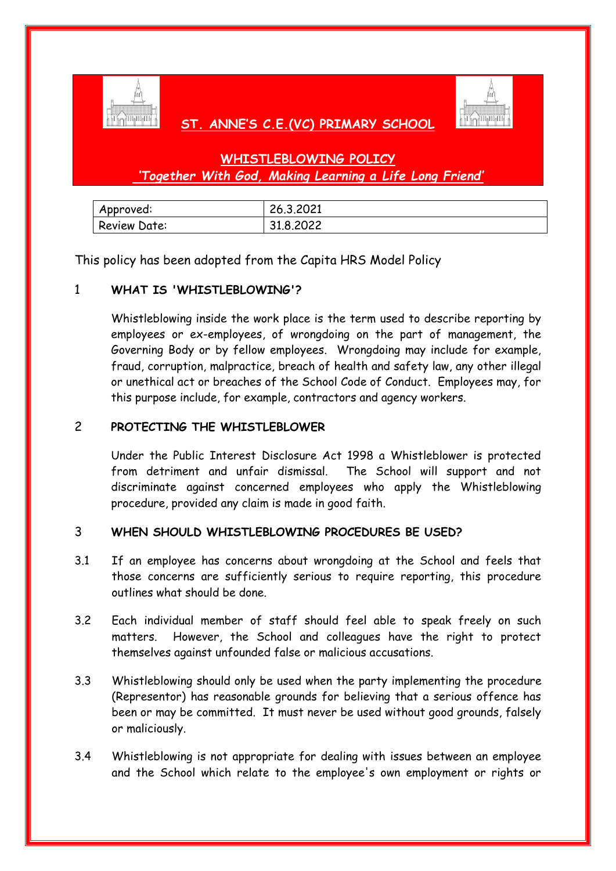

## **ST. ANNE'S C.E.(VC) PRIMARY SCHOOL**



# **WHISTLEBLOWING POLICY** *'Together With God, Making Learning a Life Long Friend'*

| Approved:           | 26.3.2021 |
|---------------------|-----------|
| <b>Review Date:</b> | 31.8.2022 |

This policy has been adopted from the Capita HRS Model Policy

## 1 **WHAT IS 'WHISTLEBLOWING'?**

Whistleblowing inside the work place is the term used to describe reporting by employees or ex-employees, of wrongdoing on the part of management, the Governing Body or by fellow employees. Wrongdoing may include for example, fraud, corruption, malpractice, breach of health and safety law, any other illegal or unethical act or breaches of the School Code of Conduct. Employees may, for this purpose include, for example, contractors and agency workers.

## 2 **PROTECTING THE WHISTLEBLOWER**

Under the Public Interest Disclosure Act 1998 a Whistleblower is protected from detriment and unfair dismissal. The School will support and not discriminate against concerned employees who apply the Whistleblowing procedure, provided any claim is made in good faith.

#### 3 **WHEN SHOULD WHISTLEBLOWING PROCEDURES BE USED?**

- 3.1 If an employee has concerns about wrongdoing at the School and feels that those concerns are sufficiently serious to require reporting, this procedure outlines what should be done.
- 3.2 Each individual member of staff should feel able to speak freely on such matters. However, the School and colleagues have the right to protect themselves against unfounded false or malicious accusations.
- 3.3 Whistleblowing should only be used when the party implementing the procedure (Representor) has reasonable grounds for believing that a serious offence has been or may be committed. It must never be used without good grounds, falsely or maliciously.
- 3.4 Whistleblowing is not appropriate for dealing with issues between an employee and the School which relate to the employee's own employment or rights or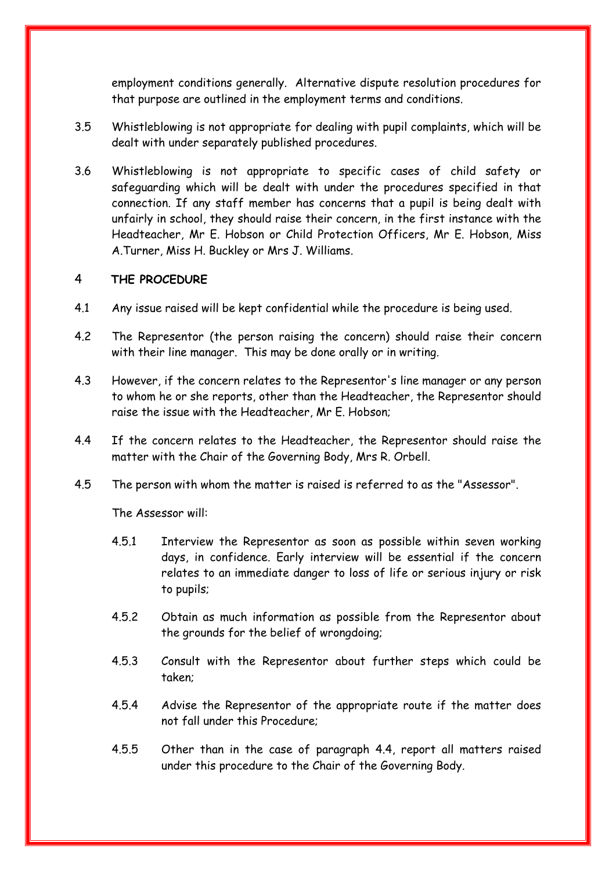employment conditions generally. Alternative dispute resolution procedures for that purpose are outlined in the employment terms and conditions.

- 3.5 Whistleblowing is not appropriate for dealing with pupil complaints, which will be dealt with under separately published procedures.
- 3.6 Whistleblowing is not appropriate to specific cases of child safety or safeguarding which will be dealt with under the procedures specified in that connection. If any staff member has concerns that a pupil is being dealt with unfairly in school, they should raise their concern, in the first instance with the Headteacher, Mr E. Hobson or Child Protection Officers, Mr E. Hobson, Miss A.Turner, Miss H. Buckley or Mrs J. Williams.

#### 4 **THE PROCEDURE**

- 4.1 Any issue raised will be kept confidential while the procedure is being used.
- 4.2 The Representor (the person raising the concern) should raise their concern with their line manager. This may be done orally or in writing.
- 4.3 However, if the concern relates to the Representor's line manager or any person to whom he or she reports, other than the Headteacher, the Representor should raise the issue with the Headteacher, Mr E. Hobson;
- 4.4 If the concern relates to the Headteacher, the Representor should raise the matter with the Chair of the Governing Body, Mrs R. Orbell.
- 4.5 The person with whom the matter is raised is referred to as the "Assessor".

The Assessor will:

- 4.5.1 Interview the Representor as soon as possible within seven working days, in confidence. Early interview will be essential if the concern relates to an immediate danger to loss of life or serious injury or risk to pupils;
- 4.5.2 Obtain as much information as possible from the Representor about the grounds for the belief of wrongdoing;
- 4.5.3 Consult with the Representor about further steps which could be taken;
- 4.5.4 Advise the Representor of the appropriate route if the matter does not fall under this Procedure;
- 4.5.5 Other than in the case of paragraph 4.4, report all matters raised under this procedure to the Chair of the Governing Body.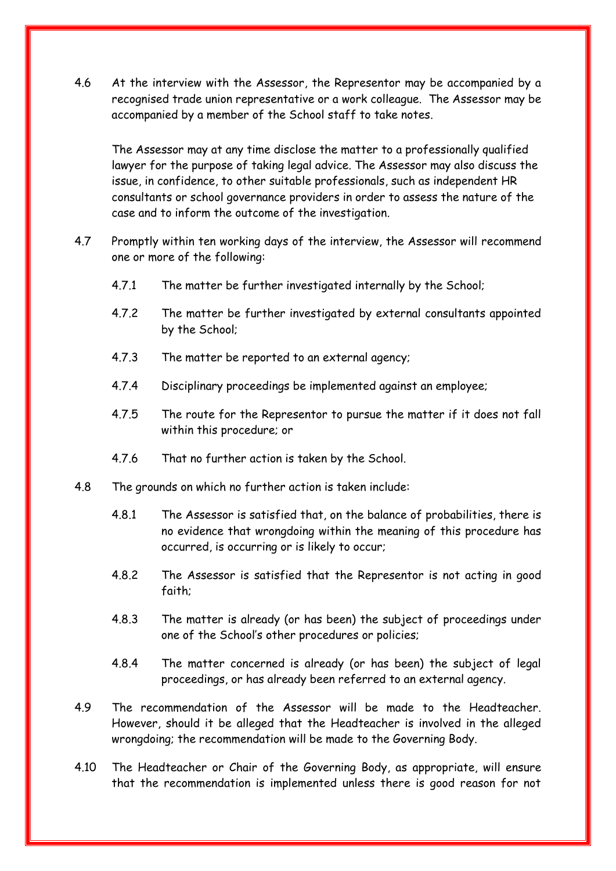4.6 At the interview with the Assessor, the Representor may be accompanied by a recognised trade union representative or a work colleague. The Assessor may be accompanied by a member of the School staff to take notes.

The Assessor may at any time disclose the matter to a professionally qualified lawyer for the purpose of taking legal advice. The Assessor may also discuss the issue, in confidence, to other suitable professionals, such as independent HR consultants or school governance providers in order to assess the nature of the case and to inform the outcome of the investigation.

- 4.7 Promptly within ten working days of the interview, the Assessor will recommend one or more of the following:
	- 4.7.1 The matter be further investigated internally by the School;
	- 4.7.2 The matter be further investigated by external consultants appointed by the School;
	- 4.7.3 The matter be reported to an external agency;
	- 4.7.4 Disciplinary proceedings be implemented against an employee;
	- 4.7.5 The route for the Representor to pursue the matter if it does not fall within this procedure; or
	- 4.7.6 That no further action is taken by the School.
- 4.8 The grounds on which no further action is taken include:
	- 4.8.1 The Assessor is satisfied that, on the balance of probabilities, there is no evidence that wrongdoing within the meaning of this procedure has occurred, is occurring or is likely to occur;
	- 4.8.2 The Assessor is satisfied that the Representor is not acting in good faith;
	- 4.8.3 The matter is already (or has been) the subject of proceedings under one of the School's other procedures or policies;
	- 4.8.4 The matter concerned is already (or has been) the subject of legal proceedings, or has already been referred to an external agency.
- 4.9 The recommendation of the Assessor will be made to the Headteacher. However, should it be alleged that the Headteacher is involved in the alleged wrongdoing; the recommendation will be made to the Governing Body.
- 4.10 The Headteacher or Chair of the Governing Body, as appropriate, will ensure that the recommendation is implemented unless there is good reason for not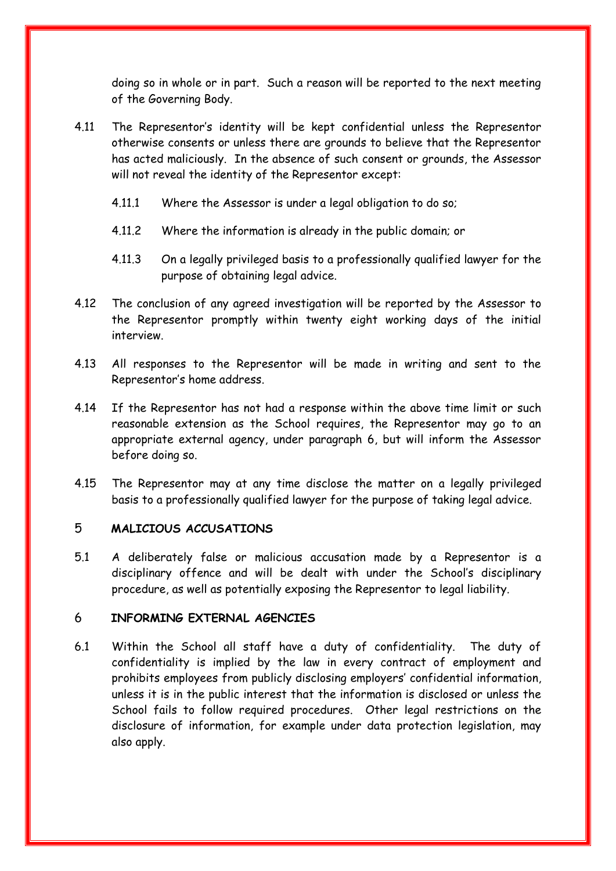doing so in whole or in part. Such a reason will be reported to the next meeting of the Governing Body.

- 4.11 The Representor's identity will be kept confidential unless the Representor otherwise consents or unless there are grounds to believe that the Representor has acted maliciously. In the absence of such consent or grounds, the Assessor will not reveal the identity of the Representor except:
	- 4.11.1 Where the Assessor is under a legal obligation to do so;
	- 4.11.2 Where the information is already in the public domain; or
	- 4.11.3 On a legally privileged basis to a professionally qualified lawyer for the purpose of obtaining legal advice.
- 4.12 The conclusion of any agreed investigation will be reported by the Assessor to the Representor promptly within twenty eight working days of the initial interview.
- 4.13 All responses to the Representor will be made in writing and sent to the Representor's home address.
- 4.14 If the Representor has not had a response within the above time limit or such reasonable extension as the School requires, the Representor may go to an appropriate external agency, under paragraph 6, but will inform the Assessor before doing so.
- 4.15 The Representor may at any time disclose the matter on a legally privileged basis to a professionally qualified lawyer for the purpose of taking legal advice.

#### 5 **MALICIOUS ACCUSATIONS**

5.1 A deliberately false or malicious accusation made by a Representor is a disciplinary offence and will be dealt with under the School's disciplinary procedure, as well as potentially exposing the Representor to legal liability.

#### 6 **INFORMING EXTERNAL AGENCIES**

6.1 Within the School all staff have a duty of confidentiality. The duty of confidentiality is implied by the law in every contract of employment and prohibits employees from publicly disclosing employers' confidential information, unless it is in the public interest that the information is disclosed or unless the School fails to follow required procedures. Other legal restrictions on the disclosure of information, for example under data protection legislation, may also apply.